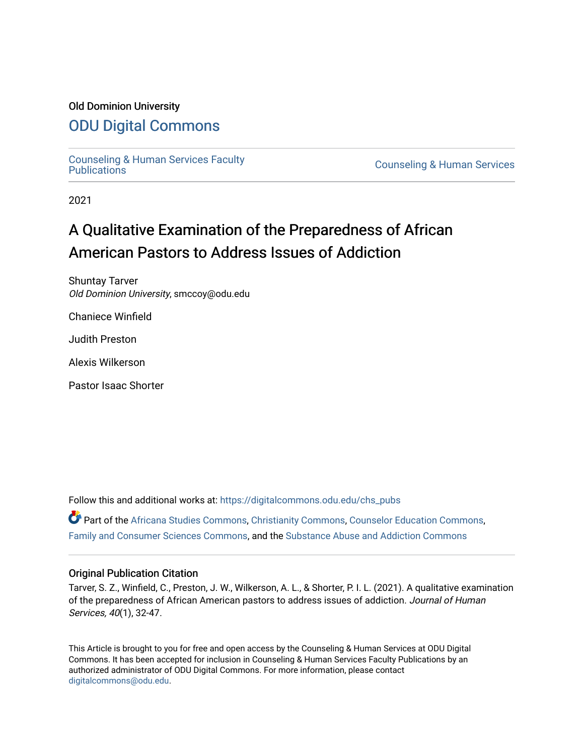### Old Dominion University

# [ODU Digital Commons](https://digitalcommons.odu.edu/)

[Counseling & Human Services Faculty](https://digitalcommons.odu.edu/chs_pubs) 

**Counseling & Human Services** 

2021

# A Qualitative Examination of the Preparedness of African American Pastors to Address Issues of Addiction

Shuntay Tarver Old Dominion University, smccoy@odu.edu

Chaniece Winfield

Judith Preston

Alexis Wilkerson

Pastor Isaac Shorter

Follow this and additional works at: [https://digitalcommons.odu.edu/chs\\_pubs](https://digitalcommons.odu.edu/chs_pubs?utm_source=digitalcommons.odu.edu%2Fchs_pubs%2F78&utm_medium=PDF&utm_campaign=PDFCoverPages)

Part of the [Africana Studies Commons,](http://network.bepress.com/hgg/discipline/1418?utm_source=digitalcommons.odu.edu%2Fchs_pubs%2F78&utm_medium=PDF&utm_campaign=PDFCoverPages) [Christianity Commons](http://network.bepress.com/hgg/discipline/1181?utm_source=digitalcommons.odu.edu%2Fchs_pubs%2F78&utm_medium=PDF&utm_campaign=PDFCoverPages), [Counselor Education Commons](http://network.bepress.com/hgg/discipline/1278?utm_source=digitalcommons.odu.edu%2Fchs_pubs%2F78&utm_medium=PDF&utm_campaign=PDFCoverPages), [Family and Consumer Sciences Commons,](http://network.bepress.com/hgg/discipline/1055?utm_source=digitalcommons.odu.edu%2Fchs_pubs%2F78&utm_medium=PDF&utm_campaign=PDFCoverPages) and the [Substance Abuse and Addiction Commons](http://network.bepress.com/hgg/discipline/710?utm_source=digitalcommons.odu.edu%2Fchs_pubs%2F78&utm_medium=PDF&utm_campaign=PDFCoverPages) 

#### Original Publication Citation

Tarver, S. Z., Winfield, C., Preston, J. W., Wilkerson, A. L., & Shorter, P. I. L. (2021). A qualitative examination of the preparedness of African American pastors to address issues of addiction. Journal of Human Services, 40(1), 32-47.

This Article is brought to you for free and open access by the Counseling & Human Services at ODU Digital Commons. It has been accepted for inclusion in Counseling & Human Services Faculty Publications by an authorized administrator of ODU Digital Commons. For more information, please contact [digitalcommons@odu.edu](mailto:digitalcommons@odu.edu).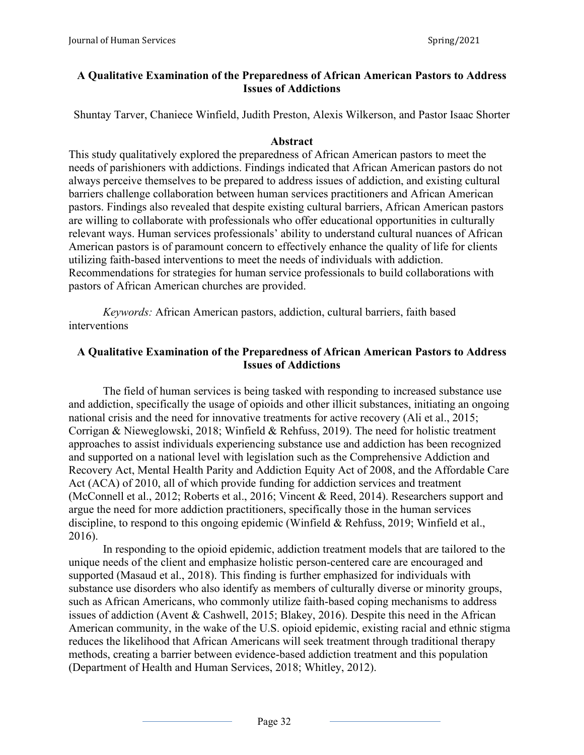# **A Qualitative Examination of the Preparedness of African American Pastors to Address Issues of Addictions**

Shuntay Tarver, Chaniece Winfield, Judith Preston, Alexis Wilkerson, and Pastor Isaac Shorter

### **Abstract**

This study qualitatively explored the preparedness of African American pastors to meet the needs of parishioners with addictions. Findings indicated that African American pastors do not always perceive themselves to be prepared to address issues of addiction, and existing cultural barriers challenge collaboration between human services practitioners and African American pastors. Findings also revealed that despite existing cultural barriers, African American pastors are willing to collaborate with professionals who offer educational opportunities in culturally relevant ways. Human services professionals' ability to understand cultural nuances of African American pastors is of paramount concern to effectively enhance the quality of life for clients utilizing faith-based interventions to meet the needs of individuals with addiction. Recommendations for strategies for human service professionals to build collaborations with pastors of African American churches are provided.

*Keywords:* African American pastors, addiction, cultural barriers, faith based interventions

# **A Qualitative Examination of the Preparedness of African American Pastors to Address Issues of Addictions**

The field of human services is being tasked with responding to increased substance use and addiction, specifically the usage of opioids and other illicit substances, initiating an ongoing national crisis and the need for innovative treatments for active recovery (Ali et al., 2015; Corrigan & Nieweglowski, 2018; Winfield & Rehfuss, 2019). The need for holistic treatment approaches to assist individuals experiencing substance use and addiction has been recognized and supported on a national level with legislation such as the Comprehensive Addiction and Recovery Act, Mental Health Parity and Addiction Equity Act of 2008, and the Affordable Care Act (ACA) of 2010, all of which provide funding for addiction services and treatment (McConnell et al., 2012; Roberts et al., 2016; Vincent & Reed, 2014). Researchers support and argue the need for more addiction practitioners, specifically those in the human services discipline, to respond to this ongoing epidemic (Winfield & Rehfuss, 2019; Winfield et al., 2016).

In responding to the opioid epidemic, addiction treatment models that are tailored to the unique needs of the client and emphasize holistic person-centered care are encouraged and supported (Masaud et al., 2018). This finding is further emphasized for individuals with substance use disorders who also identify as members of culturally diverse or minority groups, such as African Americans, who commonly utilize faith-based coping mechanisms to address issues of addiction (Avent & Cashwell, 2015; Blakey, 2016). Despite this need in the African American community, in the wake of the U.S. opioid epidemic, existing racial and ethnic stigma reduces the likelihood that African Americans will seek treatment through traditional therapy methods, creating a barrier between evidence-based addiction treatment and this population (Department of Health and Human Services, 2018; Whitley, 2012).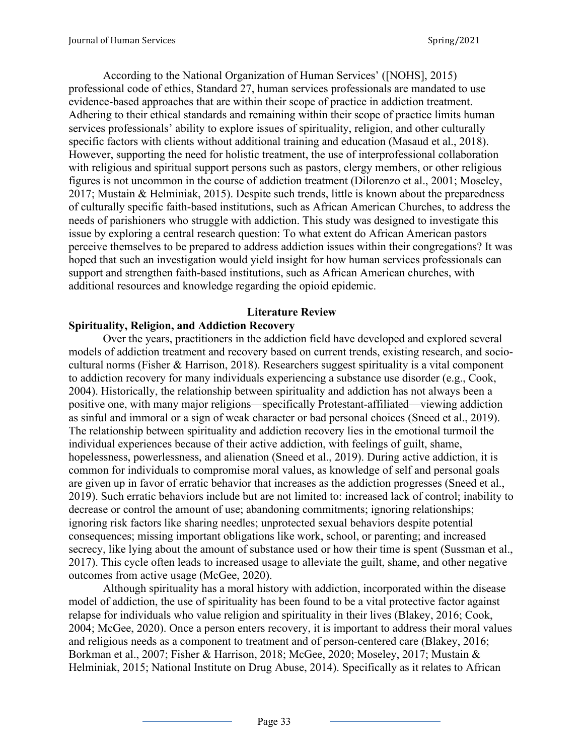According to the National Organization of Human Services' ([NOHS], 2015) professional code of ethics, Standard 27, human services professionals are mandated to use evidence-based approaches that are within their scope of practice in addiction treatment. Adhering to their ethical standards and remaining within their scope of practice limits human services professionals' ability to explore issues of spirituality, religion, and other culturally specific factors with clients without additional training and education (Masaud et al., 2018). However, supporting the need for holistic treatment, the use of interprofessional collaboration with religious and spiritual support persons such as pastors, clergy members, or other religious figures is not uncommon in the course of addiction treatment (Dilorenzo et al., 2001; Moseley, 2017; Mustain & Helminiak, 2015). Despite such trends, little is known about the preparedness of culturally specific faith-based institutions, such as African American Churches, to address the needs of parishioners who struggle with addiction. This study was designed to investigate this issue by exploring a central research question: To what extent do African American pastors perceive themselves to be prepared to address addiction issues within their congregations? It was hoped that such an investigation would yield insight for how human services professionals can support and strengthen faith-based institutions, such as African American churches, with additional resources and knowledge regarding the opioid epidemic.

### **Literature Review**

### **Spirituality, Religion, and Addiction Recovery**

Over the years, practitioners in the addiction field have developed and explored several models of addiction treatment and recovery based on current trends, existing research, and sociocultural norms (Fisher & Harrison, 2018). Researchers suggest spirituality is a vital component to addiction recovery for many individuals experiencing a substance use disorder (e.g., Cook, 2004). Historically, the relationship between spirituality and addiction has not always been a positive one, with many major religions—specifically Protestant-affiliated—viewing addiction as sinful and immoral or a sign of weak character or bad personal choices (Sneed et al., 2019). The relationship between spirituality and addiction recovery lies in the emotional turmoil the individual experiences because of their active addiction, with feelings of guilt, shame, hopelessness, powerlessness, and alienation (Sneed et al., 2019). During active addiction, it is common for individuals to compromise moral values, as knowledge of self and personal goals are given up in favor of erratic behavior that increases as the addiction progresses (Sneed et al., 2019). Such erratic behaviors include but are not limited to: increased lack of control; inability to decrease or control the amount of use; abandoning commitments; ignoring relationships; ignoring risk factors like sharing needles; unprotected sexual behaviors despite potential consequences; missing important obligations like work, school, or parenting; and increased secrecy, like lying about the amount of substance used or how their time is spent (Sussman et al., 2017). This cycle often leads to increased usage to alleviate the guilt, shame, and other negative outcomes from active usage (McGee, 2020).

Although spirituality has a moral history with addiction, incorporated within the disease model of addiction, the use of spirituality has been found to be a vital protective factor against relapse for individuals who value religion and spirituality in their lives (Blakey, 2016; Cook, 2004; McGee, 2020). Once a person enters recovery, it is important to address their moral values and religious needs as a component to treatment and of person-centered care (Blakey, 2016; Borkman et al., 2007; Fisher & Harrison, 2018; McGee, 2020; Moseley, 2017; Mustain & Helminiak, 2015; National Institute on Drug Abuse, 2014). Specifically as it relates to African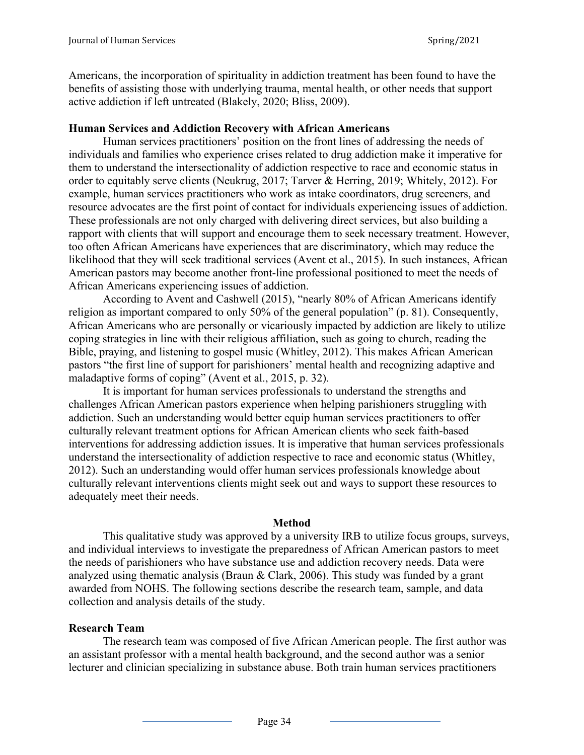Americans, the incorporation of spirituality in addiction treatment has been found to have the benefits of assisting those with underlying trauma, mental health, or other needs that support active addiction if left untreated (Blakely, 2020; Bliss, 2009).

### **Human Services and Addiction Recovery with African Americans**

Human services practitioners' position on the front lines of addressing the needs of individuals and families who experience crises related to drug addiction make it imperative for them to understand the intersectionality of addiction respective to race and economic status in order to equitably serve clients (Neukrug, 2017; Tarver & Herring, 2019; Whitely, 2012). For example, human services practitioners who work as intake coordinators, drug screeners, and resource advocates are the first point of contact for individuals experiencing issues of addiction. These professionals are not only charged with delivering direct services, but also building a rapport with clients that will support and encourage them to seek necessary treatment. However, too often African Americans have experiences that are discriminatory, which may reduce the likelihood that they will seek traditional services (Avent et al., 2015). In such instances, African American pastors may become another front-line professional positioned to meet the needs of African Americans experiencing issues of addiction.

According to Avent and Cashwell (2015), "nearly 80% of African Americans identify religion as important compared to only 50% of the general population" (p. 81). Consequently, African Americans who are personally or vicariously impacted by addiction are likely to utilize coping strategies in line with their religious affiliation, such as going to church, reading the Bible, praying, and listening to gospel music (Whitley, 2012). This makes African American pastors "the first line of support for parishioners' mental health and recognizing adaptive and maladaptive forms of coping" (Avent et al., 2015, p. 32).

It is important for human services professionals to understand the strengths and challenges African American pastors experience when helping parishioners struggling with addiction. Such an understanding would better equip human services practitioners to offer culturally relevant treatment options for African American clients who seek faith-based interventions for addressing addiction issues. It is imperative that human services professionals understand the intersectionality of addiction respective to race and economic status (Whitley, 2012). Such an understanding would offer human services professionals knowledge about culturally relevant interventions clients might seek out and ways to support these resources to adequately meet their needs.

### **Method**

This qualitative study was approved by a university IRB to utilize focus groups, surveys, and individual interviews to investigate the preparedness of African American pastors to meet the needs of parishioners who have substance use and addiction recovery needs. Data were analyzed using thematic analysis (Braun & Clark, 2006). This study was funded by a grant awarded from NOHS. The following sections describe the research team, sample, and data collection and analysis details of the study.

# **Research Team**

The research team was composed of five African American people. The first author was an assistant professor with a mental health background, and the second author was a senior lecturer and clinician specializing in substance abuse. Both train human services practitioners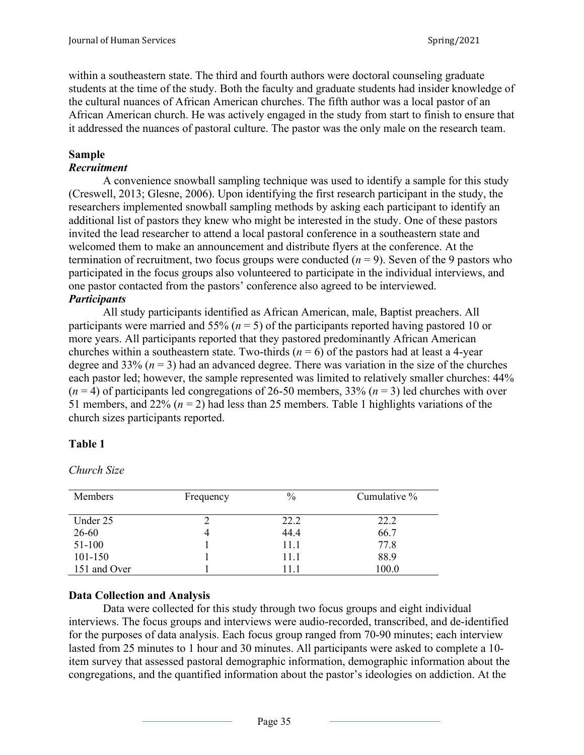within a southeastern state. The third and fourth authors were doctoral counseling graduate students at the time of the study. Both the faculty and graduate students had insider knowledge of the cultural nuances of African American churches. The fifth author was a local pastor of an African American church. He was actively engaged in the study from start to finish to ensure that it addressed the nuances of pastoral culture. The pastor was the only male on the research team.

# **Sample**

## *Recruitment*

A convenience snowball sampling technique was used to identify a sample for this study (Creswell, 2013; Glesne, 2006). Upon identifying the first research participant in the study, the researchers implemented snowball sampling methods by asking each participant to identify an additional list of pastors they knew who might be interested in the study. One of these pastors invited the lead researcher to attend a local pastoral conference in a southeastern state and welcomed them to make an announcement and distribute flyers at the conference. At the termination of recruitment, two focus groups were conducted  $(n = 9)$ . Seven of the 9 pastors who participated in the focus groups also volunteered to participate in the individual interviews, and one pastor contacted from the pastors' conference also agreed to be interviewed. *Participants*

All study participants identified as African American, male, Baptist preachers. All participants were married and 55% (*n* = 5) of the participants reported having pastored 10 or more years. All participants reported that they pastored predominantly African American churches within a southeastern state. Two-thirds  $(n = 6)$  of the pastors had at least a 4-year degree and 33%  $(n = 3)$  had an advanced degree. There was variation in the size of the churches each pastor led; however, the sample represented was limited to relatively smaller churches: 44%  $(n = 4)$  of participants led congregations of 26-50 members, 33%  $(n = 3)$  led churches with over 51 members, and 22%  $(n = 2)$  had less than 25 members. Table 1 highlights variations of the church sizes participants reported.

# **Table 1**

*Church Size*

| <b>Members</b> | Frequency | $\frac{0}{0}$ | Cumulative % |
|----------------|-----------|---------------|--------------|
| Under 25       |           | 22.2          | 22.2         |
| 26-60          |           | 44.4          | 66.7         |
| 51-100         |           | 11.1          | 77.8         |
| 101-150        |           | 11.1          | 88.9         |
| 151 and Over   |           | (1)           | 100.0        |

# **Data Collection and Analysis**

Data were collected for this study through two focus groups and eight individual interviews. The focus groups and interviews were audio-recorded, transcribed, and de-identified for the purposes of data analysis. Each focus group ranged from 70-90 minutes; each interview lasted from 25 minutes to 1 hour and 30 minutes. All participants were asked to complete a 10 item survey that assessed pastoral demographic information, demographic information about the congregations, and the quantified information about the pastor's ideologies on addiction. At the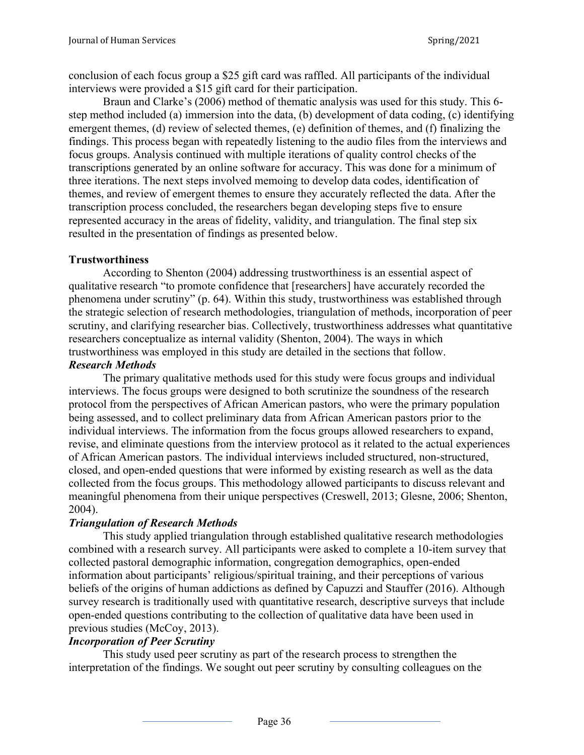conclusion of each focus group a \$25 gift card was raffled. All participants of the individual interviews were provided a \$15 gift card for their participation.

Braun and Clarke's (2006) method of thematic analysis was used for this study. This 6 step method included (a) immersion into the data, (b) development of data coding, (c) identifying emergent themes, (d) review of selected themes, (e) definition of themes, and (f) finalizing the findings. This process began with repeatedly listening to the audio files from the interviews and focus groups. Analysis continued with multiple iterations of quality control checks of the transcriptions generated by an online software for accuracy. This was done for a minimum of three iterations. The next steps involved memoing to develop data codes, identification of themes, and review of emergent themes to ensure they accurately reflected the data. After the transcription process concluded, the researchers began developing steps five to ensure represented accuracy in the areas of fidelity, validity, and triangulation. The final step six resulted in the presentation of findings as presented below.

# **Trustworthiness**

According to Shenton (2004) addressing trustworthiness is an essential aspect of qualitative research "to promote confidence that [researchers] have accurately recorded the phenomena under scrutiny" (p. 64). Within this study, trustworthiness was established through the strategic selection of research methodologies, triangulation of methods, incorporation of peer scrutiny, and clarifying researcher bias. Collectively, trustworthiness addresses what quantitative researchers conceptualize as internal validity (Shenton, 2004). The ways in which trustworthiness was employed in this study are detailed in the sections that follow.

# *Research Methods*

The primary qualitative methods used for this study were focus groups and individual interviews. The focus groups were designed to both scrutinize the soundness of the research protocol from the perspectives of African American pastors, who were the primary population being assessed, and to collect preliminary data from African American pastors prior to the individual interviews. The information from the focus groups allowed researchers to expand, revise, and eliminate questions from the interview protocol as it related to the actual experiences of African American pastors. The individual interviews included structured, non-structured, closed, and open-ended questions that were informed by existing research as well as the data collected from the focus groups. This methodology allowed participants to discuss relevant and meaningful phenomena from their unique perspectives (Creswell, 2013; Glesne, 2006; Shenton, 2004).

# *Triangulation of Research Methods*

This study applied triangulation through established qualitative research methodologies combined with a research survey. All participants were asked to complete a 10-item survey that collected pastoral demographic information, congregation demographics, open-ended information about participants' religious/spiritual training, and their perceptions of various beliefs of the origins of human addictions as defined by Capuzzi and Stauffer (2016). Although survey research is traditionally used with quantitative research, descriptive surveys that include open-ended questions contributing to the collection of qualitative data have been used in previous studies (McCoy, 2013).

# *Incorporation of Peer Scrutiny*

This study used peer scrutiny as part of the research process to strengthen the interpretation of the findings. We sought out peer scrutiny by consulting colleagues on the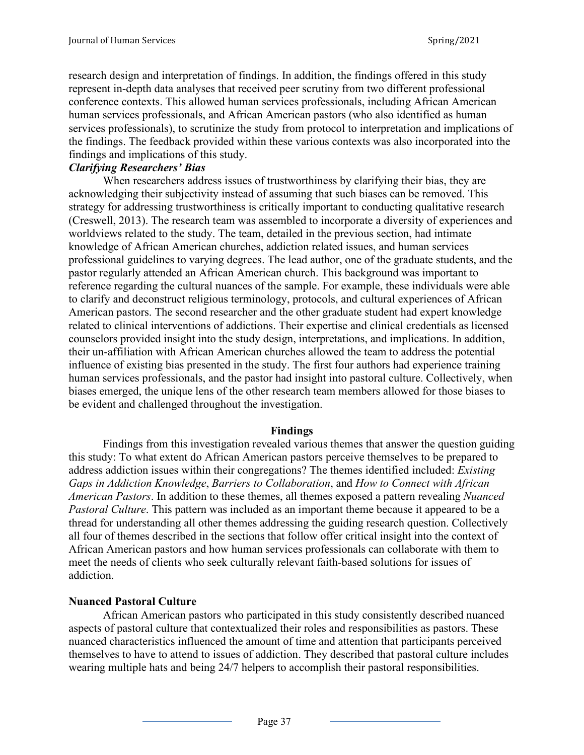research design and interpretation of findings. In addition, the findings offered in this study represent in-depth data analyses that received peer scrutiny from two different professional conference contexts. This allowed human services professionals, including African American human services professionals, and African American pastors (who also identified as human services professionals), to scrutinize the study from protocol to interpretation and implications of the findings. The feedback provided within these various contexts was also incorporated into the findings and implications of this study.

# *Clarifying Researchers' Bias*

When researchers address issues of trustworthiness by clarifying their bias, they are acknowledging their subjectivity instead of assuming that such biases can be removed. This strategy for addressing trustworthiness is critically important to conducting qualitative research (Creswell, 2013). The research team was assembled to incorporate a diversity of experiences and worldviews related to the study. The team, detailed in the previous section, had intimate knowledge of African American churches, addiction related issues, and human services professional guidelines to varying degrees. The lead author, one of the graduate students, and the pastor regularly attended an African American church. This background was important to reference regarding the cultural nuances of the sample. For example, these individuals were able to clarify and deconstruct religious terminology, protocols, and cultural experiences of African American pastors. The second researcher and the other graduate student had expert knowledge related to clinical interventions of addictions. Their expertise and clinical credentials as licensed counselors provided insight into the study design, interpretations, and implications. In addition, their un-affiliation with African American churches allowed the team to address the potential influence of existing bias presented in the study. The first four authors had experience training human services professionals, and the pastor had insight into pastoral culture. Collectively, when biases emerged, the unique lens of the other research team members allowed for those biases to be evident and challenged throughout the investigation.

### **Findings**

Findings from this investigation revealed various themes that answer the question guiding this study: To what extent do African American pastors perceive themselves to be prepared to address addiction issues within their congregations? The themes identified included: *Existing Gaps in Addiction Knowledge*, *Barriers to Collaboration*, and *How to Connect with African American Pastors*. In addition to these themes, all themes exposed a pattern revealing *Nuanced Pastoral Culture*. This pattern was included as an important theme because it appeared to be a thread for understanding all other themes addressing the guiding research question. Collectively all four of themes described in the sections that follow offer critical insight into the context of African American pastors and how human services professionals can collaborate with them to meet the needs of clients who seek culturally relevant faith-based solutions for issues of addiction.

# **Nuanced Pastoral Culture**

African American pastors who participated in this study consistently described nuanced aspects of pastoral culture that contextualized their roles and responsibilities as pastors. These nuanced characteristics influenced the amount of time and attention that participants perceived themselves to have to attend to issues of addiction. They described that pastoral culture includes wearing multiple hats and being 24/7 helpers to accomplish their pastoral responsibilities.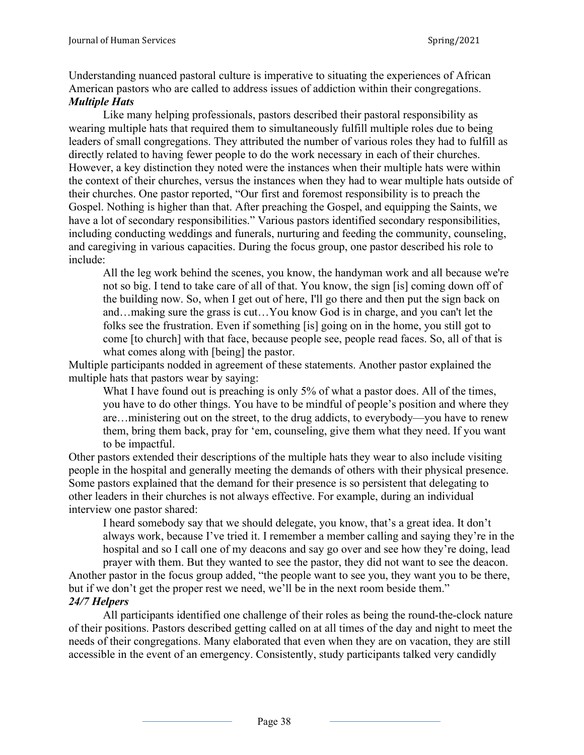Understanding nuanced pastoral culture is imperative to situating the experiences of African American pastors who are called to address issues of addiction within their congregations. *Multiple Hats*

Like many helping professionals, pastors described their pastoral responsibility as wearing multiple hats that required them to simultaneously fulfill multiple roles due to being leaders of small congregations. They attributed the number of various roles they had to fulfill as directly related to having fewer people to do the work necessary in each of their churches. However, a key distinction they noted were the instances when their multiple hats were within the context of their churches, versus the instances when they had to wear multiple hats outside of their churches. One pastor reported, "Our first and foremost responsibility is to preach the Gospel. Nothing is higher than that. After preaching the Gospel, and equipping the Saints, we have a lot of secondary responsibilities." Various pastors identified secondary responsibilities, including conducting weddings and funerals, nurturing and feeding the community, counseling, and caregiving in various capacities. During the focus group, one pastor described his role to include:

All the leg work behind the scenes, you know, the handyman work and all because we're not so big. I tend to take care of all of that. You know, the sign [is] coming down off of the building now. So, when I get out of here, I'll go there and then put the sign back on and…making sure the grass is cut…You know God is in charge, and you can't let the folks see the frustration. Even if something [is] going on in the home, you still got to come [to church] with that face, because people see, people read faces. So, all of that is what comes along with [being] the pastor.

Multiple participants nodded in agreement of these statements. Another pastor explained the multiple hats that pastors wear by saying:

What I have found out is preaching is only 5% of what a pastor does. All of the times, you have to do other things. You have to be mindful of people's position and where they are…ministering out on the street, to the drug addicts, to everybody—you have to renew them, bring them back, pray for 'em, counseling, give them what they need. If you want to be impactful.

Other pastors extended their descriptions of the multiple hats they wear to also include visiting people in the hospital and generally meeting the demands of others with their physical presence. Some pastors explained that the demand for their presence is so persistent that delegating to other leaders in their churches is not always effective. For example, during an individual interview one pastor shared:

I heard somebody say that we should delegate, you know, that's a great idea. It don't always work, because I've tried it. I remember a member calling and saying they're in the hospital and so I call one of my deacons and say go over and see how they're doing, lead prayer with them. But they wanted to see the pastor, they did not want to see the deacon.

Another pastor in the focus group added, "the people want to see you, they want you to be there, but if we don't get the proper rest we need, we'll be in the next room beside them." *24/7 Helpers*

All participants identified one challenge of their roles as being the round-the-clock nature of their positions. Pastors described getting called on at all times of the day and night to meet the needs of their congregations. Many elaborated that even when they are on vacation, they are still accessible in the event of an emergency. Consistently, study participants talked very candidly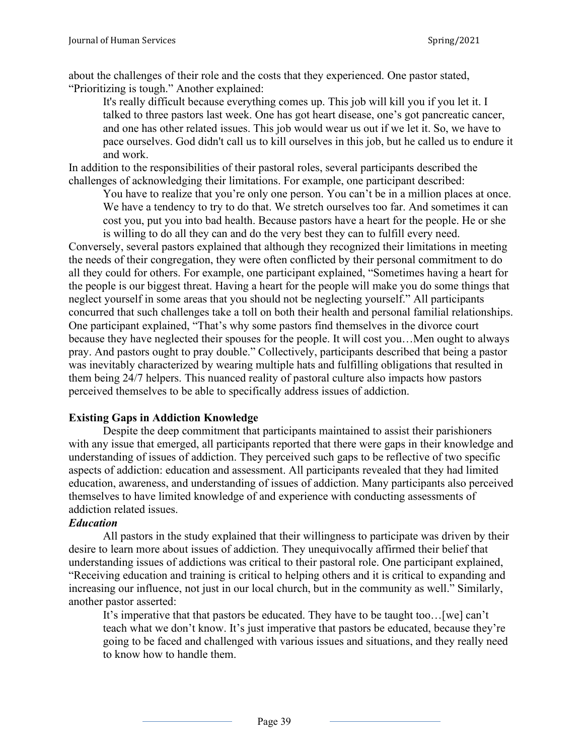about the challenges of their role and the costs that they experienced. One pastor stated, "Prioritizing is tough." Another explained:

It's really difficult because everything comes up. This job will kill you if you let it. I talked to three pastors last week. One has got heart disease, one's got pancreatic cancer, and one has other related issues. This job would wear us out if we let it. So, we have to pace ourselves. God didn't call us to kill ourselves in this job, but he called us to endure it and work.

In addition to the responsibilities of their pastoral roles, several participants described the challenges of acknowledging their limitations. For example, one participant described:

You have to realize that you're only one person. You can't be in a million places at once. We have a tendency to try to do that. We stretch ourselves too far. And sometimes it can cost you, put you into bad health. Because pastors have a heart for the people. He or she is willing to do all they can and do the very best they can to fulfill every need.

Conversely, several pastors explained that although they recognized their limitations in meeting the needs of their congregation, they were often conflicted by their personal commitment to do all they could for others. For example, one participant explained, "Sometimes having a heart for the people is our biggest threat. Having a heart for the people will make you do some things that neglect yourself in some areas that you should not be neglecting yourself." All participants concurred that such challenges take a toll on both their health and personal familial relationships. One participant explained, "That's why some pastors find themselves in the divorce court because they have neglected their spouses for the people. It will cost you…Men ought to always pray. And pastors ought to pray double." Collectively, participants described that being a pastor was inevitably characterized by wearing multiple hats and fulfilling obligations that resulted in them being 24/7 helpers. This nuanced reality of pastoral culture also impacts how pastors perceived themselves to be able to specifically address issues of addiction.

# **Existing Gaps in Addiction Knowledge**

Despite the deep commitment that participants maintained to assist their parishioners with any issue that emerged, all participants reported that there were gaps in their knowledge and understanding of issues of addiction. They perceived such gaps to be reflective of two specific aspects of addiction: education and assessment. All participants revealed that they had limited education, awareness, and understanding of issues of addiction. Many participants also perceived themselves to have limited knowledge of and experience with conducting assessments of addiction related issues.

# *Education*

All pastors in the study explained that their willingness to participate was driven by their desire to learn more about issues of addiction. They unequivocally affirmed their belief that understanding issues of addictions was critical to their pastoral role. One participant explained, "Receiving education and training is critical to helping others and it is critical to expanding and increasing our influence, not just in our local church, but in the community as well." Similarly, another pastor asserted:

It's imperative that that pastors be educated. They have to be taught too…[we] can't teach what we don't know. It's just imperative that pastors be educated, because they're going to be faced and challenged with various issues and situations, and they really need to know how to handle them.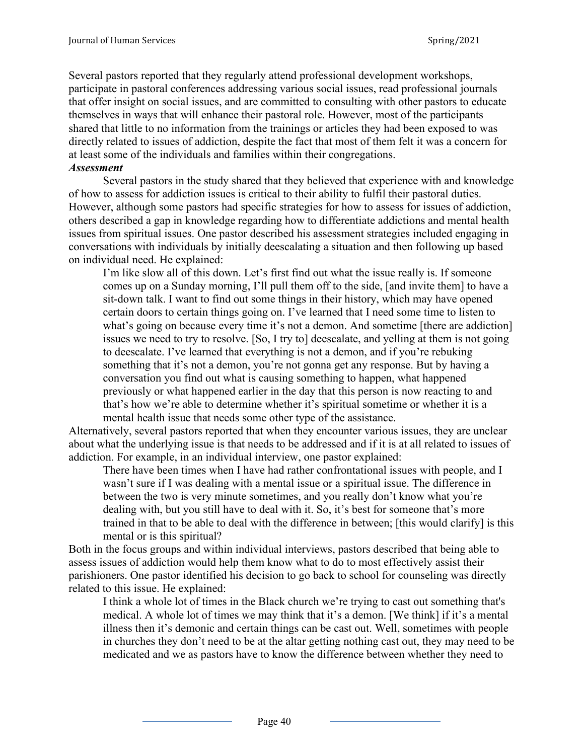Several pastors reported that they regularly attend professional development workshops, participate in pastoral conferences addressing various social issues, read professional journals that offer insight on social issues, and are committed to consulting with other pastors to educate themselves in ways that will enhance their pastoral role. However, most of the participants shared that little to no information from the trainings or articles they had been exposed to was directly related to issues of addiction, despite the fact that most of them felt it was a concern for at least some of the individuals and families within their congregations.

#### *Assessment*

Several pastors in the study shared that they believed that experience with and knowledge of how to assess for addiction issues is critical to their ability to fulfil their pastoral duties. However, although some pastors had specific strategies for how to assess for issues of addiction, others described a gap in knowledge regarding how to differentiate addictions and mental health issues from spiritual issues. One pastor described his assessment strategies included engaging in conversations with individuals by initially deescalating a situation and then following up based on individual need. He explained:

I'm like slow all of this down. Let's first find out what the issue really is. If someone comes up on a Sunday morning, I'll pull them off to the side, [and invite them] to have a sit-down talk. I want to find out some things in their history, which may have opened certain doors to certain things going on. I've learned that I need some time to listen to what's going on because every time it's not a demon. And sometime [there are addiction] issues we need to try to resolve. [So, I try to] deescalate, and yelling at them is not going to deescalate. I've learned that everything is not a demon, and if you're rebuking something that it's not a demon, you're not gonna get any response. But by having a conversation you find out what is causing something to happen, what happened previously or what happened earlier in the day that this person is now reacting to and that's how we're able to determine whether it's spiritual sometime or whether it is a mental health issue that needs some other type of the assistance.

Alternatively, several pastors reported that when they encounter various issues, they are unclear about what the underlying issue is that needs to be addressed and if it is at all related to issues of addiction. For example, in an individual interview, one pastor explained:

There have been times when I have had rather confrontational issues with people, and I wasn't sure if I was dealing with a mental issue or a spiritual issue. The difference in between the two is very minute sometimes, and you really don't know what you're dealing with, but you still have to deal with it. So, it's best for someone that's more trained in that to be able to deal with the difference in between; [this would clarify] is this mental or is this spiritual?

Both in the focus groups and within individual interviews, pastors described that being able to assess issues of addiction would help them know what to do to most effectively assist their parishioners. One pastor identified his decision to go back to school for counseling was directly related to this issue. He explained:

I think a whole lot of times in the Black church we're trying to cast out something that's medical. A whole lot of times we may think that it's a demon. [We think] if it's a mental illness then it's demonic and certain things can be cast out. Well, sometimes with people in churches they don't need to be at the altar getting nothing cast out, they may need to be medicated and we as pastors have to know the difference between whether they need to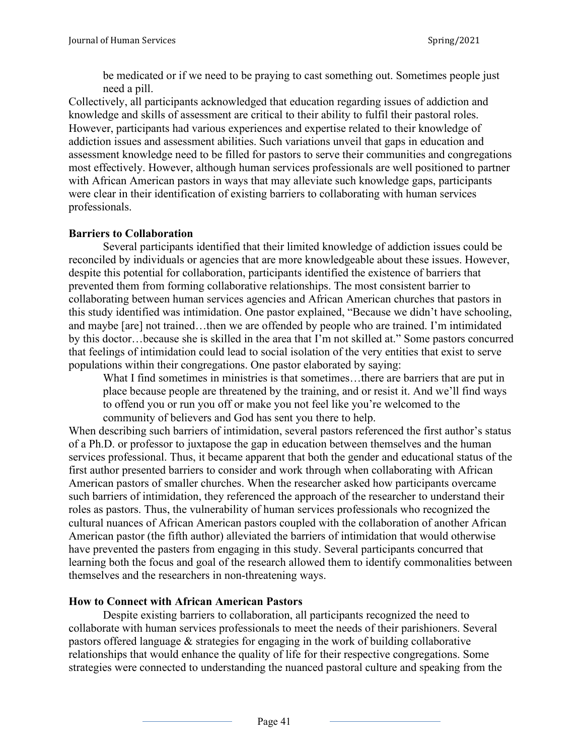be medicated or if we need to be praying to cast something out. Sometimes people just need a pill.

Collectively, all participants acknowledged that education regarding issues of addiction and knowledge and skills of assessment are critical to their ability to fulfil their pastoral roles. However, participants had various experiences and expertise related to their knowledge of addiction issues and assessment abilities. Such variations unveil that gaps in education and assessment knowledge need to be filled for pastors to serve their communities and congregations most effectively. However, although human services professionals are well positioned to partner with African American pastors in ways that may alleviate such knowledge gaps, participants were clear in their identification of existing barriers to collaborating with human services professionals.

# **Barriers to Collaboration**

Several participants identified that their limited knowledge of addiction issues could be reconciled by individuals or agencies that are more knowledgeable about these issues. However, despite this potential for collaboration, participants identified the existence of barriers that prevented them from forming collaborative relationships. The most consistent barrier to collaborating between human services agencies and African American churches that pastors in this study identified was intimidation. One pastor explained, "Because we didn't have schooling, and maybe [are] not trained…then we are offended by people who are trained. I'm intimidated by this doctor…because she is skilled in the area that I'm not skilled at." Some pastors concurred that feelings of intimidation could lead to social isolation of the very entities that exist to serve populations within their congregations. One pastor elaborated by saying:

What I find sometimes in ministries is that sometimes…there are barriers that are put in place because people are threatened by the training, and or resist it. And we'll find ways to offend you or run you off or make you not feel like you're welcomed to the community of believers and God has sent you there to help.

When describing such barriers of intimidation, several pastors referenced the first author's status of a Ph.D. or professor to juxtapose the gap in education between themselves and the human services professional. Thus, it became apparent that both the gender and educational status of the first author presented barriers to consider and work through when collaborating with African American pastors of smaller churches. When the researcher asked how participants overcame such barriers of intimidation, they referenced the approach of the researcher to understand their roles as pastors. Thus, the vulnerability of human services professionals who recognized the cultural nuances of African American pastors coupled with the collaboration of another African American pastor (the fifth author) alleviated the barriers of intimidation that would otherwise have prevented the pasters from engaging in this study. Several participants concurred that learning both the focus and goal of the research allowed them to identify commonalities between themselves and the researchers in non-threatening ways.

# **How to Connect with African American Pastors**

Despite existing barriers to collaboration, all participants recognized the need to collaborate with human services professionals to meet the needs of their parishioners. Several pastors offered language & strategies for engaging in the work of building collaborative relationships that would enhance the quality of life for their respective congregations. Some strategies were connected to understanding the nuanced pastoral culture and speaking from the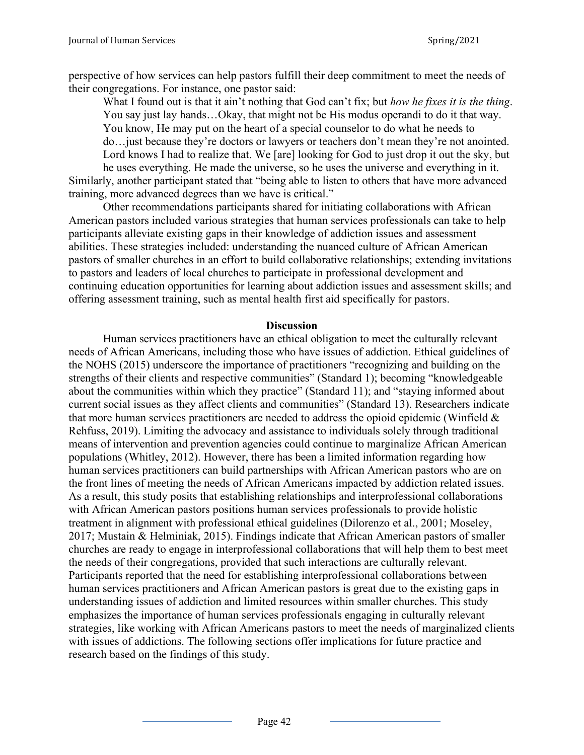perspective of how services can help pastors fulfill their deep commitment to meet the needs of their congregations. For instance, one pastor said:

What I found out is that it ain't nothing that God can't fix; but *how he fixes it is the thing*. You say just lay hands…Okay, that might not be His modus operandi to do it that way. You know, He may put on the heart of a special counselor to do what he needs to do…just because they're doctors or lawyers or teachers don't mean they're not anointed. Lord knows I had to realize that. We [are] looking for God to just drop it out the sky, but

he uses everything. He made the universe, so he uses the universe and everything in it. Similarly, another participant stated that "being able to listen to others that have more advanced training, more advanced degrees than we have is critical."

Other recommendations participants shared for initiating collaborations with African American pastors included various strategies that human services professionals can take to help participants alleviate existing gaps in their knowledge of addiction issues and assessment abilities. These strategies included: understanding the nuanced culture of African American pastors of smaller churches in an effort to build collaborative relationships; extending invitations to pastors and leaders of local churches to participate in professional development and continuing education opportunities for learning about addiction issues and assessment skills; and offering assessment training, such as mental health first aid specifically for pastors.

#### **Discussion**

Human services practitioners have an ethical obligation to meet the culturally relevant needs of African Americans, including those who have issues of addiction. Ethical guidelines of the NOHS (2015) underscore the importance of practitioners "recognizing and building on the strengths of their clients and respective communities" (Standard 1); becoming "knowledgeable about the communities within which they practice" (Standard 11); and "staying informed about current social issues as they affect clients and communities" (Standard 13). Researchers indicate that more human services practitioners are needed to address the opioid epidemic (Winfield  $\&$ Rehfuss, 2019). Limiting the advocacy and assistance to individuals solely through traditional means of intervention and prevention agencies could continue to marginalize African American populations (Whitley, 2012). However, there has been a limited information regarding how human services practitioners can build partnerships with African American pastors who are on the front lines of meeting the needs of African Americans impacted by addiction related issues. As a result, this study posits that establishing relationships and interprofessional collaborations with African American pastors positions human services professionals to provide holistic treatment in alignment with professional ethical guidelines (Dilorenzo et al., 2001; Moseley, 2017; Mustain & Helminiak, 2015). Findings indicate that African American pastors of smaller churches are ready to engage in interprofessional collaborations that will help them to best meet the needs of their congregations, provided that such interactions are culturally relevant. Participants reported that the need for establishing interprofessional collaborations between human services practitioners and African American pastors is great due to the existing gaps in understanding issues of addiction and limited resources within smaller churches. This study emphasizes the importance of human services professionals engaging in culturally relevant strategies, like working with African Americans pastors to meet the needs of marginalized clients with issues of addictions. The following sections offer implications for future practice and research based on the findings of this study.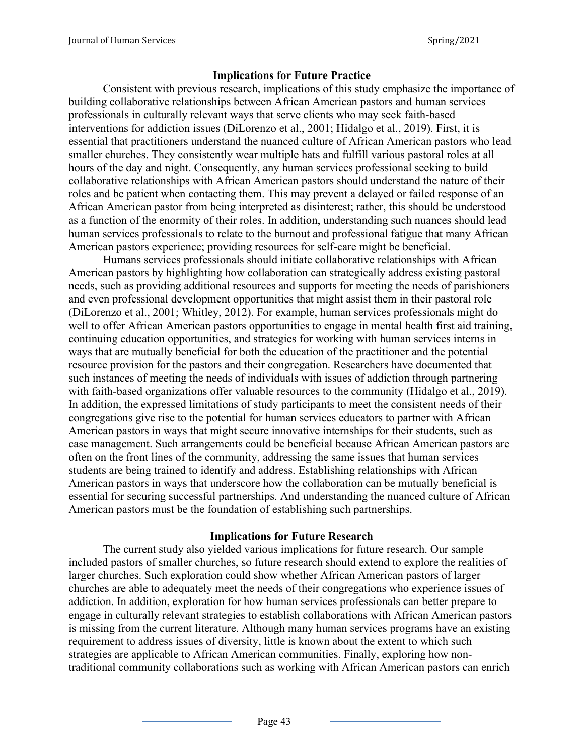## **Implications for Future Practice**

Consistent with previous research, implications of this study emphasize the importance of building collaborative relationships between African American pastors and human services professionals in culturally relevant ways that serve clients who may seek faith-based interventions for addiction issues (DiLorenzo et al., 2001; Hidalgo et al., 2019). First, it is essential that practitioners understand the nuanced culture of African American pastors who lead smaller churches. They consistently wear multiple hats and fulfill various pastoral roles at all hours of the day and night. Consequently, any human services professional seeking to build collaborative relationships with African American pastors should understand the nature of their roles and be patient when contacting them. This may prevent a delayed or failed response of an African American pastor from being interpreted as disinterest; rather, this should be understood as a function of the enormity of their roles. In addition, understanding such nuances should lead human services professionals to relate to the burnout and professional fatigue that many African American pastors experience; providing resources for self-care might be beneficial.

Humans services professionals should initiate collaborative relationships with African American pastors by highlighting how collaboration can strategically address existing pastoral needs, such as providing additional resources and supports for meeting the needs of parishioners and even professional development opportunities that might assist them in their pastoral role (DiLorenzo et al., 2001; Whitley, 2012). For example, human services professionals might do well to offer African American pastors opportunities to engage in mental health first aid training, continuing education opportunities, and strategies for working with human services interns in ways that are mutually beneficial for both the education of the practitioner and the potential resource provision for the pastors and their congregation. Researchers have documented that such instances of meeting the needs of individuals with issues of addiction through partnering with faith-based organizations offer valuable resources to the community (Hidalgo et al., 2019). In addition, the expressed limitations of study participants to meet the consistent needs of their congregations give rise to the potential for human services educators to partner with African American pastors in ways that might secure innovative internships for their students, such as case management. Such arrangements could be beneficial because African American pastors are often on the front lines of the community, addressing the same issues that human services students are being trained to identify and address. Establishing relationships with African American pastors in ways that underscore how the collaboration can be mutually beneficial is essential for securing successful partnerships. And understanding the nuanced culture of African American pastors must be the foundation of establishing such partnerships.

### **Implications for Future Research**

The current study also yielded various implications for future research. Our sample included pastors of smaller churches, so future research should extend to explore the realities of larger churches. Such exploration could show whether African American pastors of larger churches are able to adequately meet the needs of their congregations who experience issues of addiction. In addition, exploration for how human services professionals can better prepare to engage in culturally relevant strategies to establish collaborations with African American pastors is missing from the current literature. Although many human services programs have an existing requirement to address issues of diversity, little is known about the extent to which such strategies are applicable to African American communities. Finally, exploring how nontraditional community collaborations such as working with African American pastors can enrich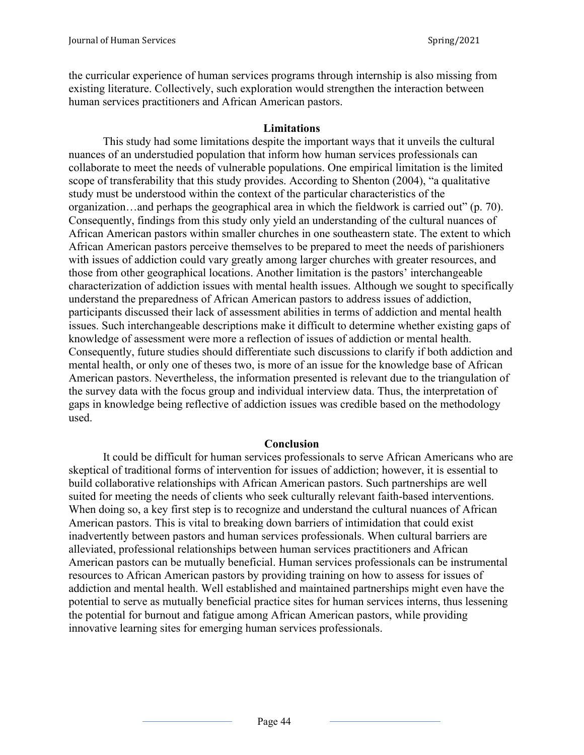the curricular experience of human services programs through internship is also missing from existing literature. Collectively, such exploration would strengthen the interaction between human services practitioners and African American pastors.

### **Limitations**

This study had some limitations despite the important ways that it unveils the cultural nuances of an understudied population that inform how human services professionals can collaborate to meet the needs of vulnerable populations. One empirical limitation is the limited scope of transferability that this study provides. According to Shenton (2004), "a qualitative study must be understood within the context of the particular characteristics of the organization…and perhaps the geographical area in which the fieldwork is carried out" (p. 70). Consequently, findings from this study only yield an understanding of the cultural nuances of African American pastors within smaller churches in one southeastern state. The extent to which African American pastors perceive themselves to be prepared to meet the needs of parishioners with issues of addiction could vary greatly among larger churches with greater resources, and those from other geographical locations. Another limitation is the pastors' interchangeable characterization of addiction issues with mental health issues. Although we sought to specifically understand the preparedness of African American pastors to address issues of addiction, participants discussed their lack of assessment abilities in terms of addiction and mental health issues. Such interchangeable descriptions make it difficult to determine whether existing gaps of knowledge of assessment were more a reflection of issues of addiction or mental health. Consequently, future studies should differentiate such discussions to clarify if both addiction and mental health, or only one of theses two, is more of an issue for the knowledge base of African American pastors. Nevertheless, the information presented is relevant due to the triangulation of the survey data with the focus group and individual interview data. Thus, the interpretation of gaps in knowledge being reflective of addiction issues was credible based on the methodology used.

### **Conclusion**

It could be difficult for human services professionals to serve African Americans who are skeptical of traditional forms of intervention for issues of addiction; however, it is essential to build collaborative relationships with African American pastors. Such partnerships are well suited for meeting the needs of clients who seek culturally relevant faith-based interventions. When doing so, a key first step is to recognize and understand the cultural nuances of African American pastors. This is vital to breaking down barriers of intimidation that could exist inadvertently between pastors and human services professionals. When cultural barriers are alleviated, professional relationships between human services practitioners and African American pastors can be mutually beneficial. Human services professionals can be instrumental resources to African American pastors by providing training on how to assess for issues of addiction and mental health. Well established and maintained partnerships might even have the potential to serve as mutually beneficial practice sites for human services interns, thus lessening the potential for burnout and fatigue among African American pastors, while providing innovative learning sites for emerging human services professionals.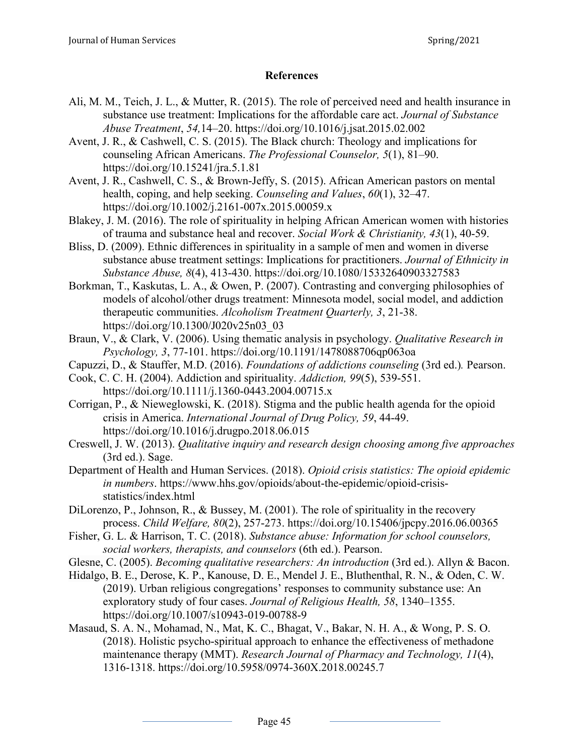# **References**

- Ali, M. M., Teich, J. L., & Mutter, R. (2015). The role of perceived need and health insurance in substance use treatment: Implications for the affordable care act. *Journal of Substance Abuse Treatment*, *54,*14–20. https://doi.org/10.1016/j.jsat.2015.02.002
- Avent, J. R., & Cashwell, C. S. (2015). The Black church: Theology and implications for counseling African Americans. *The Professional Counselor, 5*(1), 81–90. https://doi.org/10.15241/jra.5.1.81
- Avent, J. R., Cashwell, C. S., & Brown-Jeffy, S. (2015). African American pastors on mental health, coping, and help seeking. *Counseling and Values*, *60*(1), 32–47. https://doi.org/10.1002/j.2161-007x.2015.00059.x
- Blakey, J. M. (2016). The role of spirituality in helping African American women with histories of trauma and substance heal and recover. *Social Work & Christianity, 43*(1), 40-59.
- Bliss, D. (2009). Ethnic differences in spirituality in a sample of men and women in diverse substance abuse treatment settings: Implications for practitioners. *Journal of Ethnicity in Substance Abuse, 8*(4), 413-430. https://doi.org/10.1080/15332640903327583
- Borkman, T., Kaskutas, L. A., & Owen, P. (2007). Contrasting and converging philosophies of models of alcohol/other drugs treatment: Minnesota model, social model, and addiction therapeutic communities. *Alcoholism Treatment Quarterly, 3*, 21-38. [https://doi.org/10.1300/J020v25n03\\_03](https://psycnet.apa.org/doi/10.1300/J020v25n03_03)
- Braun, V., & Clark, V. (2006). Using thematic analysis in psychology. *Qualitative Research in Psychology, 3*, 77-101. https://doi.org/10.1191/1478088706qp063oa
- Capuzzi, D., & Stauffer, M.D. (2016). *Foundations of addictions counseling* (3rd ed.)*.* Pearson.
- Cook, C. C. H. (2004). Addiction and spirituality. *Addiction, 99*(5), 539-551. https://doi.org/10.1111/j.1360-0443.2004.00715.x
- Corrigan, P., & Nieweglowski, K. (2018). Stigma and the public health agenda for the opioid crisis in America. *International Journal of Drug Policy, 59*, 44-49. https://doi.org[/10.1016/j.drugpo.2018.06.015](https://doi.org/10.1016/j.drugpo.2018.06.015)
- Creswell, J. W. (2013). *Qualitative inquiry and research design choosing among five approaches* (3rd ed.). Sage.
- Department of Health and Human Services. (2018). *Opioid crisis statistics: The opioid epidemic in numbers*. https://www.hhs.gov/opioids/about-the-epidemic/opioid-crisisstatistics/index.html
- DiLorenzo, P., Johnson, R., & Bussey, M. (2001). The role of spirituality in the recovery process. *Child Welfare, 80*(2), 257-273. https://doi.org/10.15406/jpcpy.2016.06.00365
- Fisher, G. L. & Harrison, T. C. (2018). *Substance abuse: Information for school counselors, social workers, therapists, and counselors* (6th ed.). Pearson.
- Glesne, C. (2005). *Becoming qualitative researchers: An introduction* (3rd ed.). Allyn & Bacon.
- Hidalgo, B. E., Derose, K. P., Kanouse, D. E., Mendel J. E., Bluthenthal, R. N., & Oden, C. W. (2019). Urban religious congregations' responses to community substance use: An exploratory study of four cases. *Journal of Religious Health, 58*, 1340–1355[.](https://doi-org.proxy.lib.odu.edu/10.1007/s10943-019-00788-9) https://doi.org/10.1007/s10943-019-00788-9
- Masaud, S. A. N., Mohamad, N., Mat, K. C., Bhagat, V., Bakar, N. H. A., & Wong, P. S. O. (2018). Holistic psycho-spiritual approach to enhance the effectiveness of methadone maintenance therapy (MMT). *Research Journal of Pharmacy and Technology, 11*(4), 1316-1318. https://doi.org/10.5958/0974-360X.2018.00245.7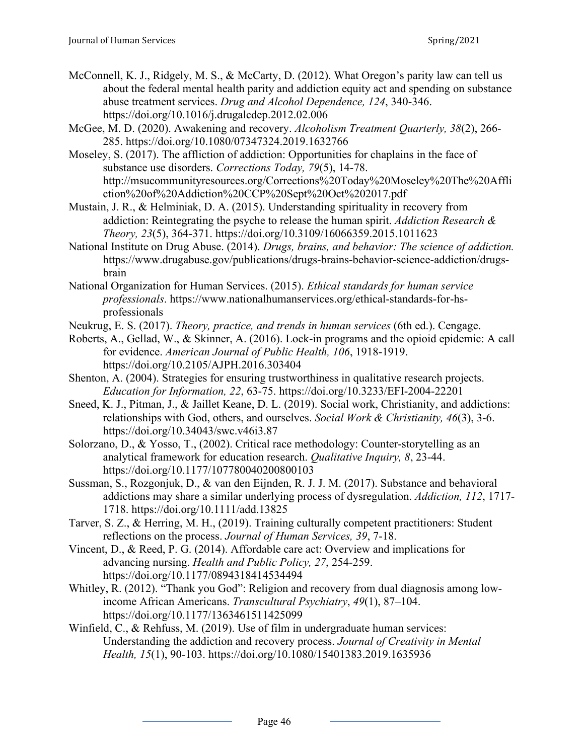- McConnell, K. J., Ridgely, M. S., & McCarty, D. (2012). What Oregon's parity law can tell us about the federal mental health parity and addiction equity act and spending on substance abuse treatment services. *Drug and Alcohol Dependence, 124*, 340-346. https://doi.org/10.1016/j.drugalcdep.2012.02.006
- McGee, M. D. (2020). Awakening and recovery. *Alcoholism Treatment Quarterly, 38*(2), 266- 285. https://doi.org/10.1080/07347324.2019.1632766
- Moseley, S. (2017). The affliction of addiction: Opportunities for chaplains in the face of substance use disorders. *Corrections Today, 79*(5), 14-78. http://msucommunityresources.org/Corrections%20Today%20Moseley%20The%20Affli ction%20of%20Addiction%20CCP%20Sept%20Oct%202017.pdf
- Mustain, J. R., & Helminiak, D. A. (2015). Understanding spirituality in recovery from addiction: Reintegrating the psyche to release the human spirit. *Addiction Research & Theory, 23*(5), 364-371. https://doi.org/10.3109/16066359.2015.1011623
- National Institute on Drug Abuse. (2014). *Drugs, brains, and behavior: The science of addiction.* https://www.drugabuse.gov/publications/drugs-brains-behavior-science-addiction/drugsbrain
- National Organization for Human Services. (2015). *Ethical standards for human service professionals*. https://www.nationalhumanservices.org/ethical-standards-for-hsprofessionals
- Neukrug, E. S. (2017). *Theory, practice, and trends in human services* (6th ed.). Cengage.
- Roberts, A., Gellad, W., & Skinner, A. (2016). Lock-in programs and the opioid epidemic: A call for evidence. *American Journal of Public Health, 106*, 1918-1919. https://doi.org/10.2105/AJPH.2016.303404
- Shenton, A. (2004). Strategies for ensuring trustworthiness in qualitative research projects. *Education for Information, 22*, 63-75. https://doi.org/10.3233/EFI-2004-22201
- Sneed, K. J., Pitman, J., & Jaillet Keane, D. L. (2019). Social work, Christianity, and addictions: relationships with God, others, and ourselves. *Social Work & Christianity, 46*(3), 3-6. https://doi.org/10.34043/swc.v46i3.87
- Solorzano, D., & Yosso, T., (2002). Critical race methodology: Counter-storytelling as an analytical framework for education research. *Qualitative Inquiry, 8*, 23-44. https://doi.org/10.1177/107780040200800103
- Sussman, S., Rozgonjuk, D., & van den Eijnden, R. J. J. M. (2017). Substance and behavioral addictions may share a similar underlying process of dysregulation. *Addiction, 112*, 1717- 1718. https://doi.org/10.1111/add.13825
- Tarver, S. Z., & Herring, M. H., (2019). Training culturally competent practitioners: Student reflections on the process. *Journal of Human Services, 39*, 7-18.
- Vincent, D., & Reed, P. G. (2014). Affordable care act: Overview and implications for advancing nursing. *Health and Public Policy, 27*, 254-259. https://doi.org/10.1177/0894318414534494
- Whitley, R. (2012). "Thank you God": Religion and recovery from dual diagnosis among lowincome African Americans. *Transcultural Psychiatry*, *49*(1), 87–104. https://doi.org/10.1177/1363461511425099
- Winfield, C., & Rehfuss, M. (2019). Use of film in undergraduate human services: Understanding the addiction and recovery process. *Journal of Creativity in Mental Health, 15*(1), 90-103. https://doi.org/10.1080/15401383.2019.1635936